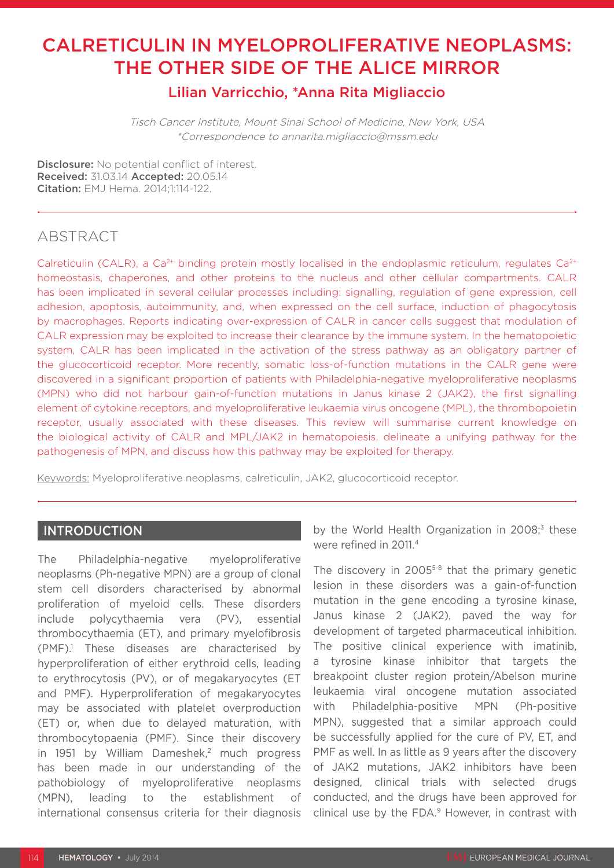# CALRETICULIN IN MYELOPROLIFERATIVE NEOPLASMS: THE OTHER SIDE OF THE ALICE MIRROR

### Lilian Varricchio, \*Anna Rita Migliaccio

Tisch Cancer Institute, Mount Sinai School of Medicine, New York, USA \*Correspondence to annarita.migliaccio@mssm.edu

Disclosure: No potential conflict of interest. Received: 31.03.14 Accepted: 20.05.14 Citation: FMJ Hema. 2014;1:114-122.

### ABSTRACT

Calreticulin (CALR), a Ca<sup>2+</sup> binding protein mostly localised in the endoplasmic reticulum, regulates Ca<sup>2+</sup> homeostasis, chaperones, and other proteins to the nucleus and other cellular compartments. CALR has been implicated in several cellular processes including: signalling, regulation of gene expression, cell adhesion, apoptosis, autoimmunity, and, when expressed on the cell surface, induction of phagocytosis by macrophages. Reports indicating over-expression of CALR in cancer cells suggest that modulation of CALR expression may be exploited to increase their clearance by the immune system. In the hematopoietic system, CALR has been implicated in the activation of the stress pathway as an obligatory partner of the glucocorticoid receptor. More recently, somatic loss-of-function mutations in the CALR gene were discovered in a significant proportion of patients with Philadelphia-negative myeloproliferative neoplasms (MPN) who did not harbour gain-of-function mutations in Janus kinase 2 (JAK2), the first signalling element of cytokine receptors, and myeloproliferative leukaemia virus oncogene (MPL), the thrombopoietin receptor, usually associated with these diseases. This review will summarise current knowledge on the biological activity of CALR and MPL/JAK2 in hematopoiesis, delineate a unifying pathway for the pathogenesis of MPN, and discuss how this pathway may be exploited for therapy.

Keywords: Myeloproliferative neoplasms, calreticulin, JAK2, glucocorticoid receptor.

#### **INTRODUCTION**

The Philadelphia-negative myeloproliferative neoplasms (Ph-negative MPN) are a group of clonal stem cell disorders characterised by abnormal proliferation of myeloid cells. These disorders include polycythaemia vera (PV), essential thrombocythaemia (ET), and primary myelofibrosis (PMF).1 These diseases are characterised by hyperproliferation of either erythroid cells, leading to erythrocytosis (PV), or of megakaryocytes (ET and PMF). Hyperproliferation of megakaryocytes may be associated with platelet overproduction (ET) or, when due to delayed maturation, with thrombocytopaenia (PMF). Since their discovery in 1951 by William Dameshek,<sup>2</sup> much progress has been made in our understanding of the pathobiology of myeloproliferative neoplasms (MPN), leading to the establishment of international consensus criteria for their diagnosis

by the World Health Organization in 2008;<sup>3</sup> these were refined in 2011.4

The discovery in 2005<sup>5-8</sup> that the primary genetic lesion in these disorders was a gain-of-function mutation in the gene encoding a tyrosine kinase, Janus kinase 2 (JAK2), paved the way for development of targeted pharmaceutical inhibition. The positive clinical experience with imatinib, a tyrosine kinase inhibitor that targets the breakpoint cluster region protein/Abelson murine leukaemia viral oncogene mutation associated with Philadelphia-positive MPN (Ph-positive MPN), suggested that a similar approach could be successfully applied for the cure of PV, ET, and PMF as well. In as little as 9 years after the discovery of JAK2 mutations, JAK2 inhibitors have been designed, clinical trials with selected drugs conducted, and the drugs have been approved for clinical use by the FDA.<sup>9</sup> However, in contrast with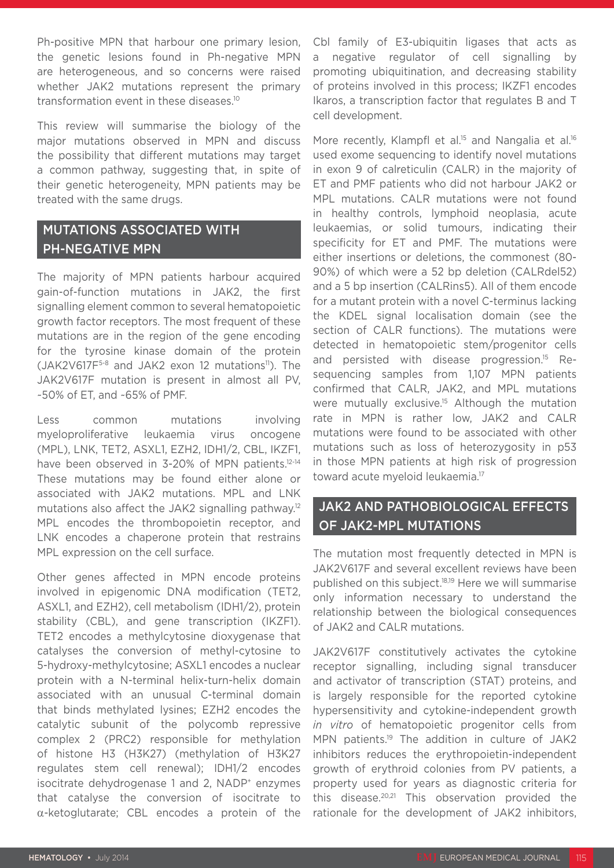Ph-positive MPN that harbour one primary lesion, the genetic lesions found in Ph-negative MPN are heterogeneous, and so concerns were raised whether JAK2 mutations represent the primary transformation event in these diseases.10

This review will summarise the biology of the major mutations observed in MPN and discuss the possibility that different mutations may target a common pathway, suggesting that, in spite of their genetic heterogeneity, MPN patients may be treated with the same drugs.

### MUTATIONS ASSOCIATED WITH PH-NEGATIVE MPN

The majority of MPN patients harbour acquired gain-of-function mutations in JAK2, the first signalling element common to several hematopoietic growth factor receptors. The most frequent of these mutations are in the region of the gene encoding for the tyrosine kinase domain of the protein  $(JAK2V617F<sup>5-8</sup>$  and JAK2 exon 12 mutations<sup>11</sup>). The JAK2V617F mutation is present in almost all PV, ~50% of ET, and ~65% of PMF.

Less common mutations involving myeloproliferative leukaemia virus oncogene (MPL), LNK, TET2, ASXL1, EZH2, IDH1/2, CBL, IKZF1, have been observed in 3-20% of MPN patients.<sup>12-14</sup> These mutations may be found either alone or associated with JAK2 mutations. MPL and LNK mutations also affect the JAK2 signalling pathway.<sup>12</sup> MPL encodes the thrombopoietin receptor, and LNK encodes a chaperone protein that restrains MPL expression on the cell surface.

Other genes affected in MPN encode proteins involved in epigenomic DNA modification (TET2, ASXL1, and EZH2), cell metabolism (IDH1/2), protein stability (CBL), and gene transcription (IKZF1). TET2 encodes a methylcytosine dioxygenase that catalyses the conversion of methyl-cytosine to 5-hydroxy-methylcytosine; ASXL1 encodes a nuclear protein with a N-terminal helix-turn-helix domain associated with an unusual C-terminal domain that binds methylated lysines; EZH2 encodes the catalytic subunit of the polycomb repressive complex 2 (PRC2) responsible for methylation of histone H3 (H3K27) (methylation of H3K27 regulates stem cell renewal); IDH1/2 encodes isocitrate dehydrogenase 1 and 2, NADP<sup>+</sup> enzymes that catalyse the conversion of isocitrate to α-ketoglutarate; CBL encodes a protein of the

Cbl family of E3-ubiquitin ligases that acts as a negative regulator of cell signalling by promoting ubiquitination, and decreasing stability of proteins involved in this process; IKZF1 encodes Ikaros, a transcription factor that regulates B and T cell development.

More recently, Klampfl et al.<sup>15</sup> and Nangalia et al.<sup>16</sup> used exome sequencing to identify novel mutations in exon 9 of calreticulin (CALR) in the majority of ET and PMF patients who did not harbour JAK2 or MPL mutations. CALR mutations were not found in healthy controls, lymphoid neoplasia, acute leukaemias, or solid tumours, indicating their specificity for ET and PMF. The mutations were either insertions or deletions, the commonest (80- 90%) of which were a 52 bp deletion (CALRdel52) and a 5 bp insertion (CALRins5). All of them encode for a mutant protein with a novel C-terminus lacking the KDEL signal localisation domain (see the section of CALR functions). The mutations were detected in hematopoietic stem/progenitor cells and persisted with disease progression.15 Resequencing samples from 1,107 MPN patients confirmed that CALR, JAK2, and MPL mutations were mutually exclusive.<sup>15</sup> Although the mutation rate in MPN is rather low, JAK2 and CALR mutations were found to be associated with other mutations such as loss of heterozygosity in p53 in those MPN patients at high risk of progression toward acute myeloid leukaemia.17

#### JAK2 AND PATHOBIOLOGICAL EFFECTS OF JAK2-MPL MUTATIONS

The mutation most frequently detected in MPN is JAK2V617F and several excellent reviews have been published on this subject.18,19 Here we will summarise only information necessary to understand the relationship between the biological consequences of JAK2 and CALR mutations.

JAK2V617F constitutively activates the cytokine receptor signalling, including signal transducer and activator of transcription (STAT) proteins, and is largely responsible for the reported cytokine hypersensitivity and cytokine-independent growth *in vitro* of hematopoietic progenitor cells from MPN patients.<sup>19</sup> The addition in culture of JAK2 inhibitors reduces the erythropoietin-independent growth of erythroid colonies from PV patients, a property used for years as diagnostic criteria for this disease.20,21 This observation provided the rationale for the development of JAK2 inhibitors,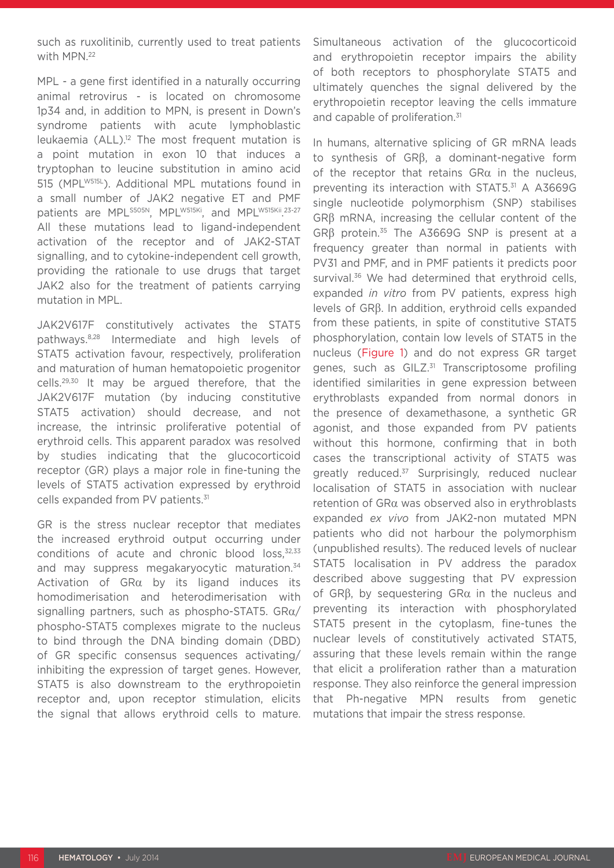such as ruxolitinib, currently used to treat patients with MPN.<sup>22</sup>

MPL - a gene first identified in a naturally occurring animal retrovirus - is located on chromosome 1p34 and, in addition to MPN, is present in Down's syndrome patients with acute lymphoblastic leukaemia  $(ALL)$ .<sup>12</sup> The most frequent mutation is a point mutation in exon 10 that induces a tryptophan to leucine substitution in amino acid 515 (MPLW515L). Additional MPL mutations found in a small number of JAK2 negative ET and PMF patients are MPL<sup>S505N</sup>, MPL<sup>W515Ki</sup>, and MPL<sup>W515Kii</sup>.23-27 All these mutations lead to ligand-independent activation of the receptor and of JAK2-STAT signalling, and to cytokine-independent cell growth, providing the rationale to use drugs that target JAK2 also for the treatment of patients carrying mutation in MPL.

JAK2V617F constitutively activates the STAT5 pathways.8,28 Intermediate and high levels of STAT5 activation favour, respectively, proliferation and maturation of human hematopoietic progenitor cells.29,30 It may be argued therefore, that the JAK2V617F mutation (by inducing constitutive STAT5 activation) should decrease, and not increase, the intrinsic proliferative potential of erythroid cells. This apparent paradox was resolved by studies indicating that the glucocorticoid receptor (GR) plays a major role in fine-tuning the levels of STAT5 activation expressed by erythroid cells expanded from PV patients.<sup>31</sup>

GR is the stress nuclear receptor that mediates the increased erythroid output occurring under conditions of acute and chronic blood loss,<sup>32,33</sup> and may suppress megakaryocytic maturation.<sup>34</sup> Activation of GRα by its ligand induces its homodimerisation and heterodimerisation with signalling partners, such as phospho-STAT5.  $GRa/$ phospho-STAT5 complexes migrate to the nucleus to bind through the DNA binding domain (DBD) of GR specific consensus sequences activating/ inhibiting the expression of target genes. However, STAT5 is also downstream to the erythropoietin receptor and, upon receptor stimulation, elicits the signal that allows erythroid cells to mature.

Simultaneous activation of the glucocorticoid and erythropoietin receptor impairs the ability of both receptors to phosphorylate STAT5 and ultimately quenches the signal delivered by the erythropoietin receptor leaving the cells immature and capable of proliferation.<sup>31</sup>

In humans, alternative splicing of GR mRNA leads to synthesis of GRβ, a dominant-negative form of the receptor that retains  $G R\alpha$  in the nucleus, preventing its interaction with STAT5.31 A A3669G single nucleotide polymorphism (SNP) stabilises GRβ mRNA, increasing the cellular content of the GRβ protein.35 The A3669G SNP is present at a frequency greater than normal in patients with PV31 and PMF, and in PMF patients it predicts poor survival.<sup>36</sup> We had determined that erythroid cells, expanded *in vitro* from PV patients, express high levels of GRβ. In addition, erythroid cells expanded from these patients, in spite of constitutive STAT5 phosphorylation, contain low levels of STAT5 in the nucleus (Figure 1) and do not express GR target genes, such as GILZ.<sup>31</sup> Transcriptosome profiling identified similarities in gene expression between erythroblasts expanded from normal donors in the presence of dexamethasone, a synthetic GR agonist, and those expanded from PV patients without this hormone, confirming that in both cases the transcriptional activity of STAT5 was greatly reduced.<sup>37</sup> Surprisingly, reduced nuclear localisation of STAT5 in association with nuclear retention of GRα was observed also in erythroblasts expanded *ex vivo* from JAK2-non mutated MPN patients who did not harbour the polymorphism (unpublished results). The reduced levels of nuclear STAT5 localisation in PV address the paradox described above suggesting that PV expression of GRβ, by sequestering GRα in the nucleus and preventing its interaction with phosphorylated STAT5 present in the cytoplasm, fine-tunes the nuclear levels of constitutively activated STAT5, assuring that these levels remain within the range that elicit a proliferation rather than a maturation response. They also reinforce the general impression that Ph-negative MPN results from genetic mutations that impair the stress response.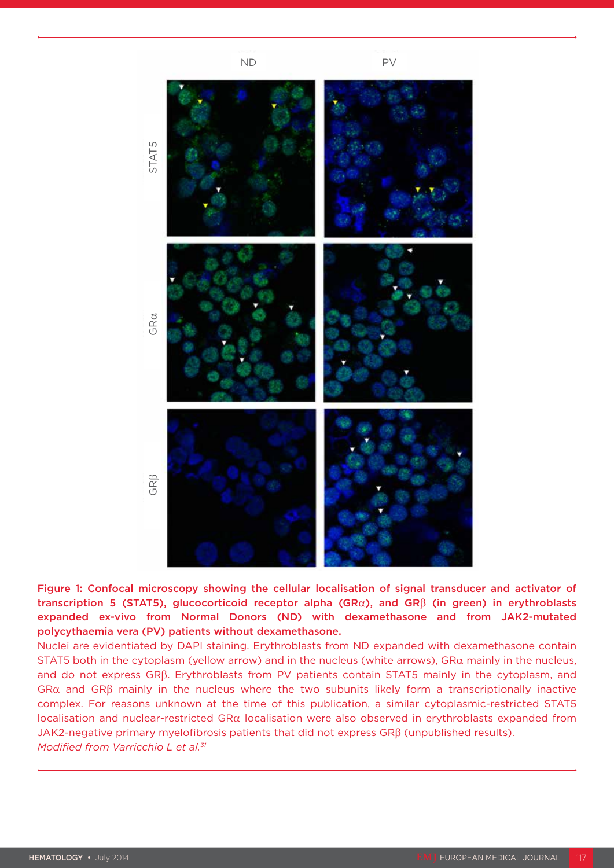

Figure 1: Confocal microscopy showing the cellular localisation of signal transducer and activator of transcription 5 (STAT5), glucocorticoid receptor alpha (GRα), and GRβ (in green) in erythroblasts expanded ex-vivo from Normal Donors (ND) with dexamethasone and from JAK2-mutated polycythaemia vera (PV) patients without dexamethasone.

Nuclei are evidentiated by DAPI staining. Erythroblasts from ND expanded with dexamethasone contain STAT5 both in the cytoplasm (yellow arrow) and in the nucleus (white arrows), GR $\alpha$  mainly in the nucleus, and do not express GRβ. Erythroblasts from PV patients contain STAT5 mainly in the cytoplasm, and GR $\alpha$  and GR $\beta$  mainly in the nucleus where the two subunits likely form a transcriptionally inactive complex. For reasons unknown at the time of this publication, a similar cytoplasmic-restricted STAT5 localisation and nuclear-restricted GRα localisation were also observed in erythroblasts expanded from JAK2-negative primary myelofibrosis patients that did not express GRβ (unpublished results). *Modified from Varricchio L et al.31*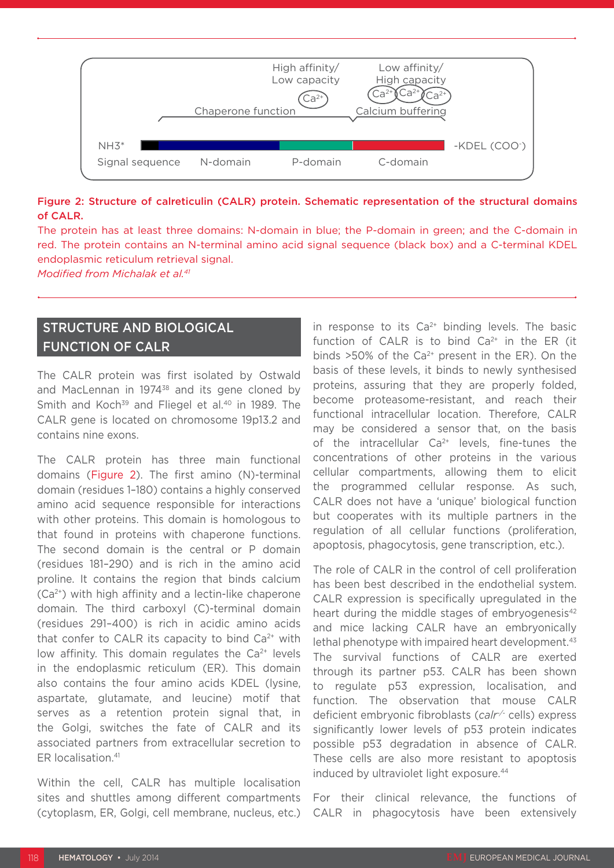

#### Figure 2: Structure of calreticulin (CALR) protein. Schematic representation of the structural domains of CALR.

The protein has at least three domains: N-domain in blue; the P-domain in green; and the C-domain in red. The protein contains an N-terminal amino acid signal sequence (black box) and a C-terminal KDEL endoplasmic reticulum retrieval signal.

*Modified from Michalak et al.41*

### STRUCTURE AND BIOLOGICAL FUNCTION OF CALR

The CALR protein was first isolated by Ostwald and MacLennan in 1974<sup>38</sup> and its gene cloned by Smith and Koch<sup>39</sup> and Fliegel et al.<sup>40</sup> in 1989. The CALR gene is located on chromosome 19p13.2 and contains nine exons.

The CALR protein has three main functional domains (Figure 2). The first amino (N)-terminal domain (residues 1–180) contains a highly conserved amino acid sequence responsible for interactions with other proteins. This domain is homologous to that found in proteins with chaperone functions. The second domain is the central or P domain (residues 181–290) and is rich in the amino acid proline. It contains the region that binds calcium (Ca2+) with high affinity and a lectin-like chaperone domain. The third carboxyl (C)-terminal domain (residues 291–400) is rich in acidic amino acids that confer to CALR its capacity to bind  $Ca<sup>2+</sup>$  with low affinity. This domain regulates the  $Ca<sup>2+</sup>$  levels in the endoplasmic reticulum (ER). This domain also contains the four amino acids KDEL (lysine, aspartate, glutamate, and leucine) motif that serves as a retention protein signal that, in the Golgi, switches the fate of CALR and its associated partners from extracellular secretion to ER localisation.41

Within the cell, CALR has multiple localisation sites and shuttles among different compartments (cytoplasm, ER, Golgi, cell membrane, nucleus, etc.)

in response to its  $Ca^{2+}$  binding levels. The basic function of CALR is to bind  $Ca<sup>2+</sup>$  in the ER (it binds  $>50\%$  of the Ca<sup>2+</sup> present in the ER). On the basis of these levels, it binds to newly synthesised proteins, assuring that they are properly folded, become proteasome-resistant, and reach their functional intracellular location. Therefore, CALR may be considered a sensor that, on the basis of the intracellular  $Ca^{2+}$  levels, fine-tunes the concentrations of other proteins in the various cellular compartments, allowing them to elicit the programmed cellular response. As such, CALR does not have a 'unique' biological function but cooperates with its multiple partners in the regulation of all cellular functions (proliferation, apoptosis, phagocytosis, gene transcription, etc.).

The role of CALR in the control of cell proliferation has been best described in the endothelial system. CALR expression is specifically upregulated in the heart during the middle stages of embryogenesis<sup>42</sup> and mice lacking CALR have an embryonically lethal phenotype with impaired heart development.<sup>43</sup> The survival functions of CALR are exerted through its partner p53. CALR has been shown to regulate p53 expression, localisation, and function. The observation that mouse CALR deficient embryonic fibroblasts (*calr-/-* cells) express significantly lower levels of p53 protein indicates possible p53 degradation in absence of CALR. These cells are also more resistant to apoptosis induced by ultraviolet light exposure.<sup>44</sup>

For their clinical relevance, the functions of CALR in phagocytosis have been extensively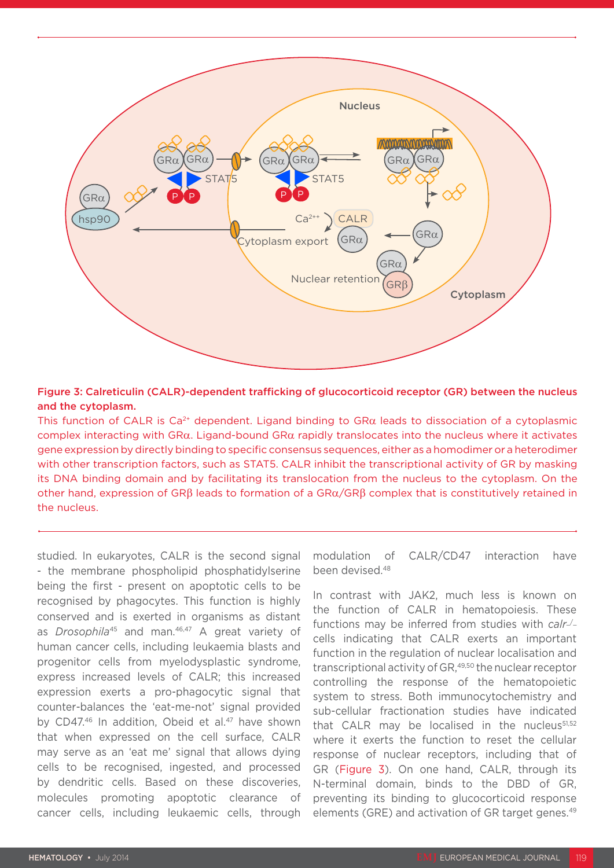

#### Figure 3: Calreticulin (CALR)-dependent trafficking of glucocorticoid receptor (GR) between the nucleus and the cytoplasm.

This function of CALR is Ca<sup>2+</sup> dependent. Ligand binding to GR $\alpha$  leads to dissociation of a cytoplasmic complex interacting with GRα. Ligand-bound GRα rapidly translocates into the nucleus where it activates gene expression by directly binding to specific consensus sequences, either as a homodimer or a heterodimer with other transcription factors, such as STAT5. CALR inhibit the transcriptional activity of GR by masking its DNA binding domain and by facilitating its translocation from the nucleus to the cytoplasm. On the other hand, expression of GRβ leads to formation of a GRα/GRβ complex that is constitutively retained in the nucleus.

studied. In eukaryotes, CALR is the second signal - the membrane phospholipid phosphatidylserine being the first - present on apoptotic cells to be recognised by phagocytes. This function is highly conserved and is exerted in organisms as distant as *Drosophila<sup>45</sup>* and man.<sup>46,47</sup> A great variety of human cancer cells, including leukaemia blasts and progenitor cells from myelodysplastic syndrome, express increased levels of CALR; this increased expression exerts a pro-phagocytic signal that counter-balances the 'eat-me-not' signal provided by CD47.<sup>46</sup> In addition. Obeid et al.<sup>47</sup> have shown that when expressed on the cell surface, CALR may serve as an 'eat me' signal that allows dying cells to be recognised, ingested, and processed by dendritic cells. Based on these discoveries, molecules promoting apoptotic clearance of cancer cells, including leukaemic cells, through

modulation of CALR/CD47 interaction have been devised.48

In contrast with JAK2, much less is known on the function of CALR in hematopoiesis. These functions may be inferred from studies with *calr*cells indicating that CALR exerts an important function in the regulation of nuclear localisation and transcriptional activity of GR,<sup>49,50</sup> the nuclear receptor controlling the response of the hematopoietic system to stress. Both immunocytochemistry and sub-cellular fractionation studies have indicated that CALR may be localised in the nucleus $51,52$ where it exerts the function to reset the cellular response of nuclear receptors, including that of GR (Figure 3). On one hand, CALR, through its N-terminal domain, binds to the DBD of GR, preventing its binding to glucocorticoid response elements (GRE) and activation of GR target genes.<sup>49</sup>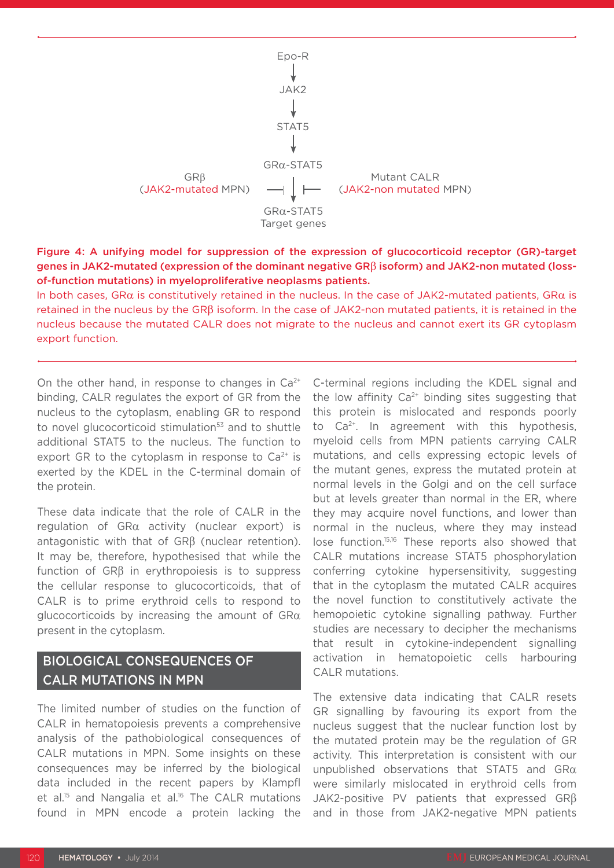

Figure 4: A unifying model for suppression of the expression of glucocorticoid receptor (GR)-target genes in JAK2-mutated (expression of the dominant negative GRβ isoform) and JAK2-non mutated (lossof-function mutations) in myeloproliferative neoplasms patients.

In both cases, GR $\alpha$  is constitutively retained in the nucleus. In the case of JAK2-mutated patients, GR $\alpha$  is retained in the nucleus by the GRβ isoform. In the case of JAK2-non mutated patients, it is retained in the nucleus because the mutated CALR does not migrate to the nucleus and cannot exert its GR cytoplasm export function.

On the other hand, in response to changes in  $Ca<sup>2+</sup>$ binding, CALR regulates the export of GR from the nucleus to the cytoplasm, enabling GR to respond to novel glucocorticoid stimulation<sup>53</sup> and to shuttle additional STAT5 to the nucleus. The function to export GR to the cytoplasm in response to  $Ca<sup>2+</sup>$  is exerted by the KDEL in the C-terminal domain of the protein.

These data indicate that the role of CALR in the regulation of GRα activity (nuclear export) is antagonistic with that of GRβ (nuclear retention). It may be, therefore, hypothesised that while the function of GRβ in erythropoiesis is to suppress the cellular response to glucocorticoids, that of CALR is to prime erythroid cells to respond to glucocorticoids by increasing the amount of  $G R \alpha$ present in the cytoplasm.

## BIOLOGICAL CONSEQUENCES OF CALR MUTATIONS IN MPN

The limited number of studies on the function of CALR in hematopoiesis prevents a comprehensive analysis of the pathobiological consequences of CALR mutations in MPN. Some insights on these consequences may be inferred by the biological data included in the recent papers by Klampfl et al.<sup>15</sup> and Nangalia et al.<sup>16</sup> The CALR mutations found in MPN encode a protein lacking the

C-terminal regions including the KDEL signal and the low affinity  $Ca^{2+}$  binding sites suggesting that this protein is mislocated and responds poorly to Ca<sup>2+</sup>. In agreement with this hypothesis, myeloid cells from MPN patients carrying CALR mutations, and cells expressing ectopic levels of the mutant genes, express the mutated protein at normal levels in the Golgi and on the cell surface but at levels greater than normal in the ER, where they may acquire novel functions, and lower than normal in the nucleus, where they may instead lose function.15,16 These reports also showed that CALR mutations increase STAT5 phosphorylation conferring cytokine hypersensitivity, suggesting that in the cytoplasm the mutated CALR acquires the novel function to constitutively activate the hemopoietic cytokine signalling pathway. Further studies are necessary to decipher the mechanisms that result in cytokine-independent signalling activation in hematopoietic cells harbouring CALR mutations.

The extensive data indicating that CALR resets GR signalling by favouring its export from the nucleus suggest that the nuclear function lost by the mutated protein may be the regulation of GR activity. This interpretation is consistent with our unpublished observations that STAT5 and GRα were similarly mislocated in erythroid cells from JAK2-positive PV patients that expressed GRβ and in those from JAK2-negative MPN patients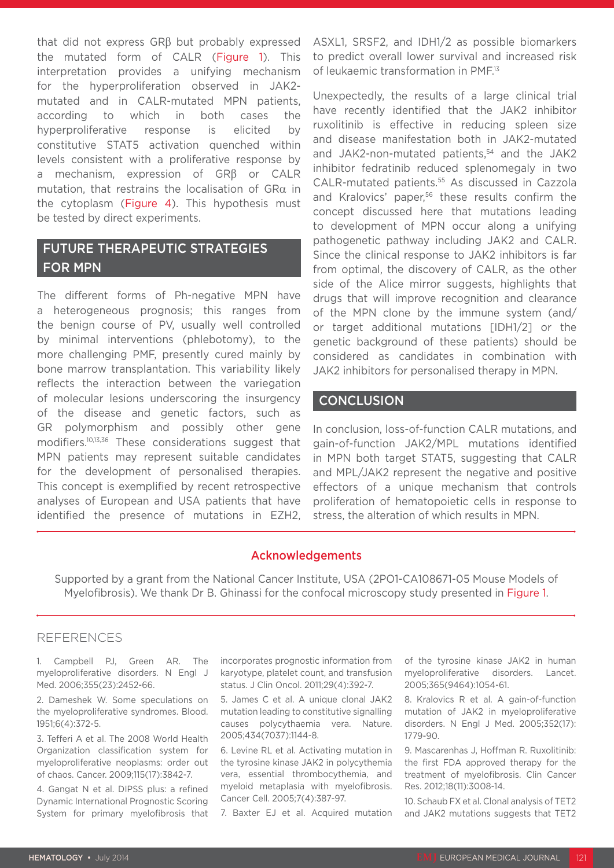that did not express GRβ but probably expressed the mutated form of CALR (Figure 1). This interpretation provides a unifying mechanism for the hyperproliferation observed in JAK2 mutated and in CALR-mutated MPN patients, according to which in both cases the hyperproliferative response is elicited by constitutive STAT5 activation quenched within levels consistent with a proliferative response by a mechanism, expression of GRβ or CALR mutation, that restrains the localisation of GRα in the cytoplasm (Figure 4). This hypothesis must be tested by direct experiments.

### FUTURE THERAPEUTIC STRATEGIES FOR MPN

The different forms of Ph-negative MPN have a heterogeneous prognosis; this ranges from the benign course of PV, usually well controlled by minimal interventions (phlebotomy), to the more challenging PMF, presently cured mainly by bone marrow transplantation. This variability likely reflects the interaction between the variegation of molecular lesions underscoring the insurgency of the disease and genetic factors, such as GR polymorphism and possibly other gene modifiers.10,13,36 These considerations suggest that MPN patients may represent suitable candidates for the development of personalised therapies. This concept is exemplified by recent retrospective analyses of European and USA patients that have identified the presence of mutations in EZH2, ASXL1, SRSF2, and IDH1/2 as possible biomarkers to predict overall lower survival and increased risk of leukaemic transformation in PMF.<sup>13</sup>

Unexpectedly, the results of a large clinical trial have recently identified that the JAK2 inhibitor ruxolitinib is effective in reducing spleen size and disease manifestation both in JAK2-mutated and JAK2-non-mutated patients,<sup>54</sup> and the JAK2 inhibitor fedratinib reduced splenomegaly in two CALR-mutated patients.55 As discussed in Cazzola and Kralovics' paper,<sup>56</sup> these results confirm the concept discussed here that mutations leading to development of MPN occur along a unifying pathogenetic pathway including JAK2 and CALR. Since the clinical response to JAK2 inhibitors is far from optimal, the discovery of CALR, as the other side of the Alice mirror suggests, highlights that drugs that will improve recognition and clearance of the MPN clone by the immune system (and/ or target additional mutations [IDH1/2] or the genetic background of these patients) should be considered as candidates in combination with JAK2 inhibitors for personalised therapy in MPN.

#### **CONCLUSION**

In conclusion, loss-of-function CALR mutations, and gain-of-function JAK2/MPL mutations identified in MPN both target STAT5, suggesting that CALR and MPL/JAK2 represent the negative and positive effectors of a unique mechanism that controls proliferation of hematopoietic cells in response to stress, the alteration of which results in MPN.

#### Acknowledgements

Supported by a grant from the National Cancer Institute, USA (2PO1-CA108671-05 Mouse Models of Myelofibrosis). We thank Dr B. Ghinassi for the confocal microscopy study presented in Figure 1.

#### **REFERENCES**

1. Campbell PJ, Green AR. The myeloproliferative disorders. N Engl J Med. 2006;355(23):2452-66.

2. Dameshek W. Some speculations on the myeloproliferative syndromes. Blood. 1951;6(4):372-5.

3. Tefferi A et al. The 2008 World Health Organization classification system for myeloproliferative neoplasms: order out of chaos. Cancer. 2009;115(17):3842-7.

4. Gangat N et al. DIPSS plus: a refined Dynamic International Prognostic Scoring System for primary myelofibrosis that

incorporates prognostic information from karyotype, platelet count, and transfusion status. J Clin Oncol. 2011;29(4):392-7.

5. James C et al. A unique clonal JAK2 mutation leading to constitutive signalling causes polycythaemia vera. Nature. 2005;434(7037):1144-8.

6. Levine RL et al. Activating mutation in the tyrosine kinase JAK2 in polycythemia vera, essential thrombocythemia, and myeloid metaplasia with myelofibrosis. Cancer Cell. 2005;7(4):387-97.

7. Baxter EJ et al. Acquired mutation

of the tyrosine kinase JAK2 in human myeloproliferative disorders. Lancet. 2005;365(9464):1054-61.

8. Kralovics R et al. A gain-of-function mutation of JAK2 in myeloproliferative disorders. N Engl J Med. 2005;352(17): 1779-90.

9. Mascarenhas J, Hoffman R. Ruxolitinib: the first FDA approved therapy for the treatment of myelofibrosis. Clin Cancer Res. 2012;18(11):3008-14.

10. Schaub FX et al. Clonal analysis of TET2 and JAK2 mutations suggests that TET2